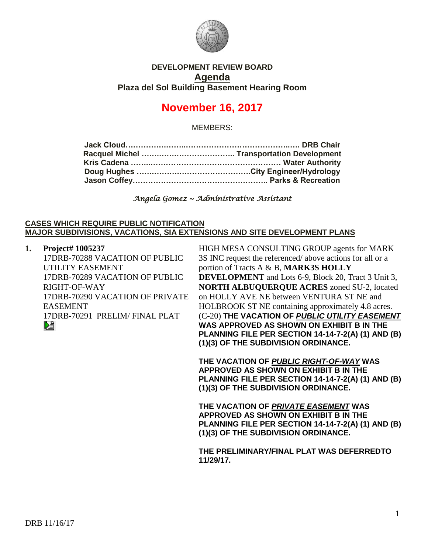

## **DEVELOPMENT REVIEW BOARD Agenda Plaza del Sol Building Basement Hearing Room**

# **November 16, 2017**

MEMBERS:

*Angela Gomez ~ Administrative Assistant* 

#### **CASES WHICH REQUIRE PUBLIC NOTIFICATION MAJOR SUBDIVISIONS, VACATIONS, SIA EXTENSIONS AND SITE DEVELOPMENT PLANS**

| 1. | Project# 1005237                |
|----|---------------------------------|
|    | 17DRB-70288 VACATION OF PUBLIC  |
|    | UTILITY EASEMENT                |
|    | 17DRB-70289 VACATION OF PUBLIC  |
|    | RIGHT-OF-WAY                    |
|    | 17DRB-70290 VACATION OF PRIVATE |
|    | <b>EASEMENT</b>                 |
|    | 17DRB-70291 PRELIM/FINAL PLAT   |
|    |                                 |

HIGH MESA CONSULTING GROUP agents for MARK 3S INC request the referenced/ above actions for all or a portion of Tracts A & B, **MARK3S HOLLY DEVELOPMENT** and Lots 6-9, Block 20, Tract 3 Unit 3, **NORTH ALBUQUERQUE ACRES** zoned SU-2, located on HOLLY AVE NE between VENTURA ST NE and HOLBROOK ST NE containing approximately 4.8 acres. (C-20) **THE VACATION OF** *PUBLIC UTILITY EASEMENT* **WAS APPROVED AS SHOWN ON EXHIBIT B IN THE PLANNING FILE PER SECTION 14-14-7-2(A) (1) AND (B) (1)(3) OF THE SUBDIVISION ORDINANCE.**

**THE VACATION OF** *PUBLIC RIGHT-OF-WAY* **WAS APPROVED AS SHOWN ON EXHIBIT B IN THE PLANNING FILE PER SECTION 14-14-7-2(A) (1) AND (B) (1)(3) OF THE SUBDIVISION ORDINANCE.**

**THE VACATION OF** *PRIVATE EASEMENT* **WAS APPROVED AS SHOWN ON EXHIBIT B IN THE PLANNING FILE PER SECTION 14-14-7-2(A) (1) AND (B) (1)(3) OF THE SUBDIVISION ORDINANCE.**

**THE PRELIMINARY/FINAL PLAT WAS DEFERREDTO 11/29/17.**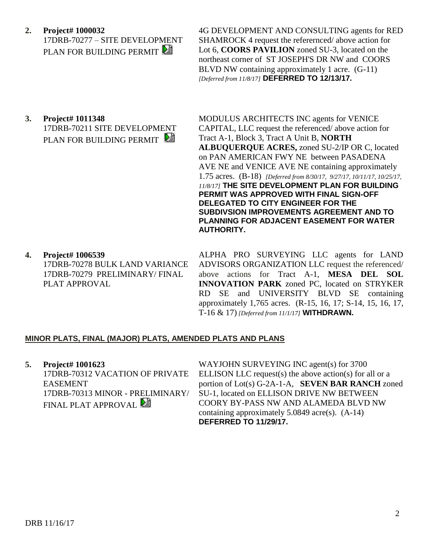**2. Project# 1000032** 17DRB-70277 – SITE DEVELOPMENT PLAN FOR BUILDING PERMIT

4G DEVELOPMENT AND CONSULTING agents for RED SHAMROCK 4 request the referernced/ above action for Lot 6, **COORS PAVILION** zoned SU-3, located on the northeast corner of ST JOSEPH'S DR NW and COORS BLVD NW containing approximately 1 acre. (G-11) *[Deferred from 11/8/17]* **DEFERRED TO 12/13/17.**

**3. Project# 1011348** 17DRB-70211 SITE DEVELOPMENT PLAN FOR BUILDING PERMIT

MODULUS ARCHITECTS INC agents for VENICE CAPITAL, LLC request the referenced/ above action for Tract A-1, Block 3, Tract A Unit B, **NORTH ALBUQUERQUE ACRES,** zoned SU-2/IP OR C, located on PAN AMERICAN FWY NE between PASADENA AVE NE and VENICE AVE NE containing approximately 1.75 acres. (B-18) *[Deferred from 8/30/17, 9/27/17, 10/11/17, 10/25/17, 11/8/17]* **THE SITE DEVELOPMENT PLAN FOR BUILDING PERMIT WAS APPROVED WITH FINAL SIGN-OFF DELEGATED TO CITY ENGINEER FOR THE SUBDIVSION IMPROVEMENTS AGREEMENT AND TO PLANNING FOR ADJACENT EASEMENT FOR WATER AUTHORITY.**

**4. Project# 1006539** 17DRB-70278 BULK LAND VARIANCE 17DRB-70279 PRELIMINARY/ FINAL PLAT APPROVAL

ALPHA PRO SURVEYING LLC agents for LAND ADVISORS ORGANIZATION LLC request the referenced/ above actions for Tract A-1, **MESA DEL SOL INNOVATION PARK** zoned PC, located on STRYKER RD SE and UNIVERSITY BLVD SE containing approximately 1,765 acres. (R-15, 16, 17; S-14, 15, 16, 17, T-16 & 17) *[Deferred from 11/1/17]* **WITHDRAWN.**

### **MINOR PLATS, FINAL (MAJOR) PLATS, AMENDED PLATS AND PLANS**

**5. Project# 1001623** 17DRB-70312 VACATION OF PRIVATE EASEMENT 17DRB-70313 MINOR - PRELIMINARY/ FINAL PLAT APPROVAL

WAYJOHN SURVEYING INC agent(s) for 3700 ELLISON LLC request(s) the above action(s) for all or a portion of Lot(s) G-2A-1-A, **SEVEN BAR RANCH** zoned SU-1, located on ELLISON DRIVE NW BETWEEN COORY BY-PASS NW AND ALAMEDA BLVD NW containing approximately 5.0849 acre(s). (A-14) **DEFERRED TO 11/29/17.**